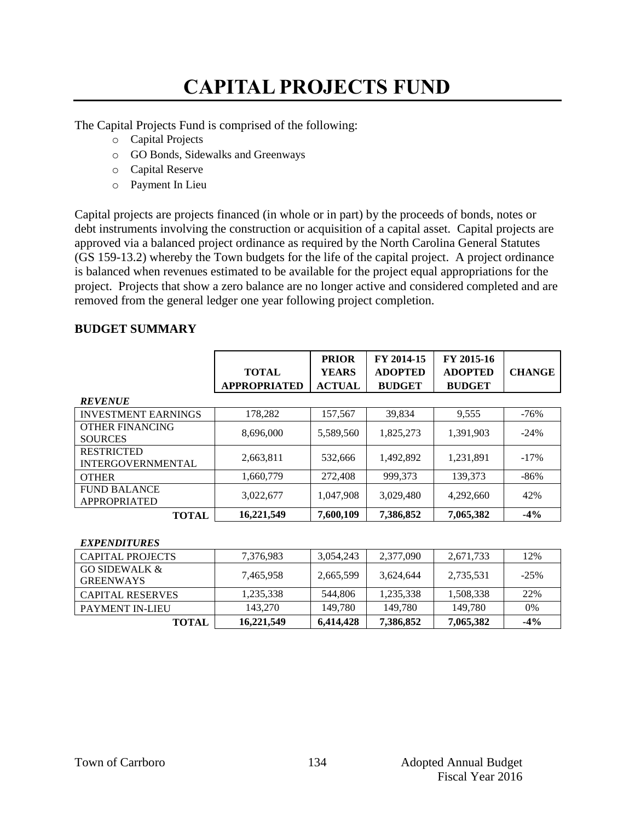# **CAPITAL PROJECTS FUND**

The Capital Projects Fund is comprised of the following:

- o Capital Projects
- o GO Bonds, Sidewalks and Greenways
- o Capital Reserve
- o Payment In Lieu

Capital projects are projects financed (in whole or in part) by the proceeds of bonds, notes or debt instruments involving the construction or acquisition of a capital asset. Capital projects are approved via a balanced project ordinance as required by the North Carolina General Statutes (GS 159-13.2) whereby the Town budgets for the life of the capital project. A project ordinance is balanced when revenues estimated to be available for the project equal appropriations for the project. Projects that show a zero balance are no longer active and considered completed and are removed from the general ledger one year following project completion.

## **BUDGET SUMMARY**

|                                               | <b>TOTAL</b><br><b>APPROPRIATED</b> | <b>PRIOR</b><br><b>YEARS</b><br><b>ACTUAL</b> | FY 2014-15<br><b>ADOPTED</b><br><b>BUDGET</b> | FY 2015-16<br><b>ADOPTED</b><br><b>BUDGET</b> | <b>CHANGE</b> |
|-----------------------------------------------|-------------------------------------|-----------------------------------------------|-----------------------------------------------|-----------------------------------------------|---------------|
| <b>REVENUE</b>                                |                                     |                                               |                                               |                                               |               |
| <b>INVESTMENT EARNINGS</b>                    | 178,282                             | 157,567                                       | 39,834                                        | 9,555                                         | $-76%$        |
| <b>OTHER FINANCING</b><br><b>SOURCES</b>      | 8,696,000                           | 5,589,560                                     | 1,825,273                                     | 1.391.903                                     | $-24%$        |
| <b>RESTRICTED</b><br><b>INTERGOVERNMENTAL</b> | 2,663,811                           | 532,666                                       | 1,492,892                                     | 1,231,891                                     | $-17%$        |
| <b>OTHER</b>                                  | 1,660,779                           | 272,408                                       | 999,373                                       | 139,373                                       | $-86%$        |
| <b>FUND BALANCE</b><br>APPROPRIATED           | 3,022,677                           | 1,047,908                                     | 3,029,480                                     | 4,292,660                                     | 42%           |
| <b>TOTAL</b>                                  | 16,221,549                          | 7,600,109                                     | 7,386,852                                     | 7,065,382                                     | $-4%$         |

### *EXPENDITURES*

| CAPITAL PROJECTS                             | 7,376,983  | 3,054,243 | 2,377,090 | 2,671,733 | 12%    |
|----------------------------------------------|------------|-----------|-----------|-----------|--------|
| <b>GO SIDEWALK &amp;</b><br><b>GREENWAYS</b> | 7,465,958  | 2,665,599 | 3,624,644 | 2,735,531 | $-25%$ |
| <b>CAPITAL RESERVES</b>                      | 1.235.338  | 544,806   | 1,235,338 | 1,508,338 | 22%    |
| PAYMENT IN-LIEU                              | 143,270    | 149.780   | 149.780   | 149.780   | $0\%$  |
| <b>TOTAL</b>                                 | 16,221,549 | 6,414,428 | 7,386,852 | 7,065,382 | $-4\%$ |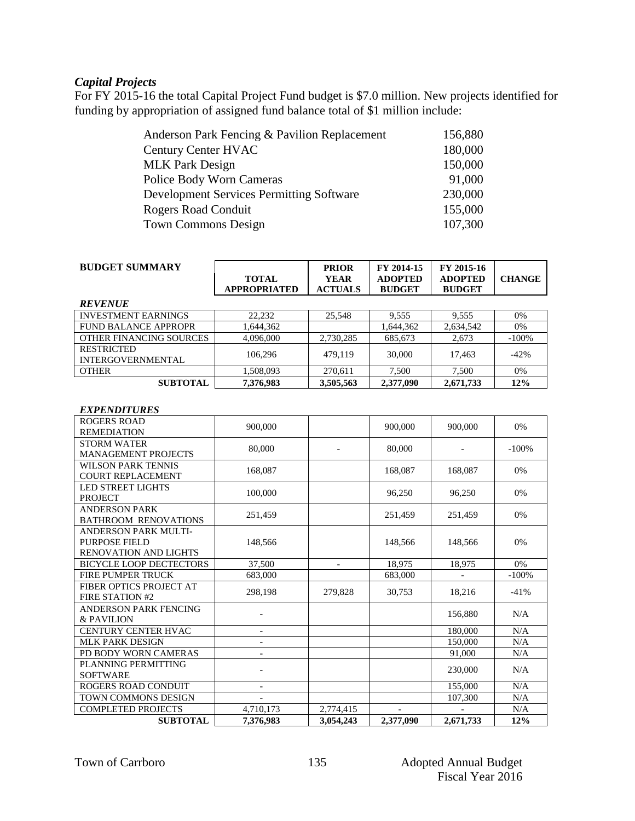### *Capital Projects*

For FY 2015-16 the total Capital Project Fund budget is \$7.0 million. New projects identified for funding by appropriation of assigned fund balance total of \$1 million include:

| Anderson Park Fencing & Pavilion Replacement    | 156,880 |
|-------------------------------------------------|---------|
| Century Center HVAC                             | 180,000 |
| <b>MLK Park Design</b>                          | 150,000 |
| <b>Police Body Worn Cameras</b>                 | 91,000  |
| <b>Development Services Permitting Software</b> | 230,000 |
| <b>Rogers Road Conduit</b>                      | 155,000 |
| <b>Town Commons Design</b>                      | 107,300 |
|                                                 |         |

| <b>BUDGET SUMMARY</b>                         | <b>TOTAL</b><br><b>APPROPRIATED</b> | <b>PRIOR</b><br><b>YEAR</b><br><b>ACTUALS</b> | FY 2014-15<br><b>ADOPTED</b><br><b>BUDGET</b> | FY 2015-16<br><b>ADOPTED</b><br><b>BUDGET</b> | <b>CHANGE</b> |
|-----------------------------------------------|-------------------------------------|-----------------------------------------------|-----------------------------------------------|-----------------------------------------------|---------------|
| <b>REVENUE</b>                                |                                     |                                               |                                               |                                               |               |
| <b>INVESTMENT EARNINGS</b>                    | 22,232                              | 25,548                                        | 9,555                                         | 9,555                                         | 0%            |
| <b>FUND BALANCE APPROPR</b>                   | 1,644,362                           |                                               | 1,644,362                                     | 2,634,542                                     | 0%            |
| OTHER FINANCING SOURCES                       | 4,096,000                           | 2,730,285                                     | 685,673                                       | 2,673                                         | $-100\%$      |
| <b>RESTRICTED</b><br><b>INTERGOVERNMENTAL</b> | 106.296                             | 479.119                                       | 30,000                                        | 17,463                                        | $-42%$        |
| <b>OTHER</b>                                  | 1,508,093                           | 270,611                                       | 7.500                                         | 7,500                                         | 0%            |

**SUBTOTAL 7,376,983 3,505,563 2,377,090 2,671,733 12%**

#### *EXPENDITURES*

| <b>ROGERS ROAD</b>             |                          |                          |           |           |         |
|--------------------------------|--------------------------|--------------------------|-----------|-----------|---------|
| <b>REMEDIATION</b>             | 900,000                  |                          | 900,000   | 900,000   | 0%      |
| <b>STORM WATER</b>             |                          |                          |           |           |         |
| <b>MANAGEMENT PROJECTS</b>     | 80,000                   |                          | 80,000    |           | $-100%$ |
| <b>WILSON PARK TENNIS</b>      |                          |                          |           |           |         |
| <b>COURT REPLACEMENT</b>       | 168,087                  |                          | 168,087   | 168,087   | 0%      |
| <b>LED STREET LIGHTS</b>       |                          |                          |           |           |         |
| <b>PROJECT</b>                 | 100,000                  |                          | 96,250    | 96,250    | 0%      |
| <b>ANDERSON PARK</b>           |                          |                          |           |           |         |
| <b>BATHROOM RENOVATIONS</b>    | 251,459                  |                          | 251,459   | 251,459   | 0%      |
| <b>ANDERSON PARK MULTI-</b>    |                          |                          |           |           |         |
| PURPOSE FIELD                  | 148,566                  |                          | 148,566   | 148,566   | 0%      |
| <b>RENOVATION AND LIGHTS</b>   |                          |                          |           |           |         |
| <b>BICYCLE LOOP DECTECTORS</b> | 37,500                   | $\overline{\phantom{0}}$ | 18,975    | 18,975    | 0%      |
| FIRE PUMPER TRUCK              | 683,000                  |                          | 683,000   |           | $-100%$ |
| FIBER OPTICS PROJECT AT        |                          |                          |           |           |         |
| FIRE STATION #2                | 298,198                  | 279,828                  | 30,753    | 18,216    | $-41%$  |
| ANDERSON PARK FENCING          |                          |                          |           |           |         |
| & PAVILION                     |                          |                          |           | 156,880   | N/A     |
| CENTURY CENTER HVAC            | $\overline{\phantom{a}}$ |                          |           | 180,000   | N/A     |
| <b>MLK PARK DESIGN</b>         |                          |                          |           | 150,000   | N/A     |
| PD BODY WORN CAMERAS           |                          |                          |           | 91,000    | N/A     |
| PLANNING PERMITTING            |                          |                          |           |           |         |
| <b>SOFTWARE</b>                |                          |                          |           | 230,000   | N/A     |
| ROGERS ROAD CONDUIT            |                          |                          |           | 155,000   | N/A     |
| TOWN COMMONS DESIGN            |                          |                          |           | 107,300   | N/A     |
| <b>COMPLETED PROJECTS</b>      | 4,710,173                | 2,774,415                |           |           | N/A     |
| <b>SUBTOTAL</b>                | 7.376.983                | 3.054.243                | 2,377,090 | 2,671,733 | 12%     |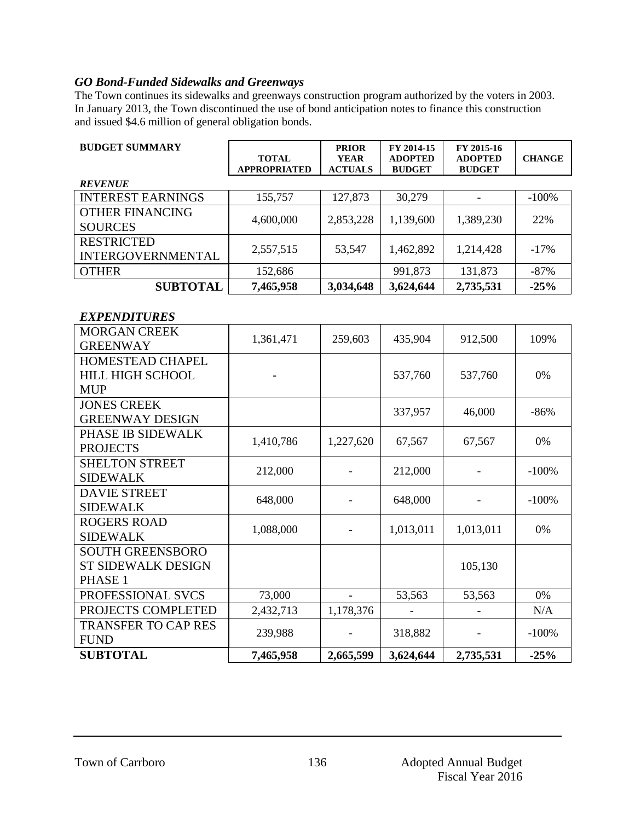## *GO Bond-Funded Sidewalks and Greenways*

The Town continues its sidewalks and greenways construction program authorized by the voters in 2003. In January 2013, the Town discontinued the use of bond anticipation notes to finance this construction and issued \$4.6 million of general obligation bonds.

| <b>BUDGET SUMMARY</b>                  | <b>TOTAL</b>        | <b>PRIOR</b><br><b>YEAR</b> | FY 2014-15<br><b>ADOPTED</b> | FY 2015-16<br><b>ADOPTED</b> | <b>CHANGE</b> |
|----------------------------------------|---------------------|-----------------------------|------------------------------|------------------------------|---------------|
|                                        | <b>APPROPRIATED</b> | <b>ACTUALS</b>              | <b>BUDGET</b>                | <b>BUDGET</b>                |               |
| <b>REVENUE</b>                         |                     |                             |                              |                              |               |
| <b>INTEREST EARNINGS</b>               | 155,757             | 127,873                     | 30,279                       |                              | $-100%$       |
| <b>OTHER FINANCING</b>                 | 4,600,000           | 2,853,228                   | 1,139,600                    | 1,389,230                    | 22%           |
| <b>SOURCES</b>                         |                     |                             |                              |                              |               |
| <b>RESTRICTED</b>                      | 2,557,515           | 53,547                      | 1,462,892                    | 1,214,428                    | $-17%$        |
| <b>INTERGOVERNMENTAL</b>               |                     |                             |                              |                              |               |
| <b>OTHER</b>                           | 152,686             |                             | 991,873                      | 131,873                      | $-87%$        |
| <b>SUBTOTAL</b>                        | 7,465,958           | 3,034,648                   | 3,624,644                    | 2,735,531                    | $-25%$        |
|                                        |                     |                             |                              |                              |               |
| <b>EXPENDITURES</b>                    |                     |                             |                              |                              |               |
| <b>MORGAN CREEK</b>                    | 1,361,471           | 259,603                     | 435,904                      | 912,500                      | 109%          |
| <b>GREENWAY</b>                        |                     |                             |                              |                              |               |
| <b>HOMESTEAD CHAPEL</b>                |                     |                             |                              |                              |               |
| <b>HILL HIGH SCHOOL</b>                |                     |                             | 537,760                      | 537,760                      | 0%            |
| <b>MUP</b>                             |                     |                             |                              |                              |               |
| <b>JONES CREEK</b>                     |                     |                             | 337,957                      | 46,000                       | $-86%$        |
| <b>GREENWAY DESIGN</b>                 |                     |                             |                              |                              |               |
| PHASE IB SIDEWALK                      | 1,410,786           | 1,227,620                   | 67,567                       | 67,567                       | 0%            |
| <b>PROJECTS</b>                        |                     |                             |                              |                              |               |
| <b>SHELTON STREET</b>                  | 212,000             |                             | 212,000                      |                              | $-100%$       |
| <b>SIDEWALK</b><br><b>DAVIE STREET</b> |                     |                             |                              |                              |               |
| <b>SIDEWALK</b>                        | 648,000             |                             | 648,000                      |                              | $-100%$       |
| <b>ROGERS ROAD</b>                     |                     |                             |                              |                              |               |
| <b>SIDEWALK</b>                        | 1,088,000           |                             | 1,013,011                    | 1,013,011                    | 0%            |
| <b>SOUTH GREENSBORO</b>                |                     |                             |                              |                              |               |
| <b>ST SIDEWALK DESIGN</b>              |                     |                             |                              | 105,130                      |               |
| PHASE 1                                |                     |                             |                              |                              |               |
| PROFESSIONAL SVCS                      | 73,000              |                             | 53,563                       | 53,563                       | 0%            |
| PROJECTS COMPLETED                     | 2,432,713           | 1,178,376                   |                              |                              | N/A           |
| <b>TRANSFER TO CAP RES</b>             |                     |                             |                              |                              |               |
| <b>FUND</b>                            | 239,988             |                             | 318,882                      |                              | $-100%$       |
| <b>SUBTOTAL</b>                        | 7,465,958           | 2,665,599                   | 3,624,644                    | 2,735,531                    | $-25%$        |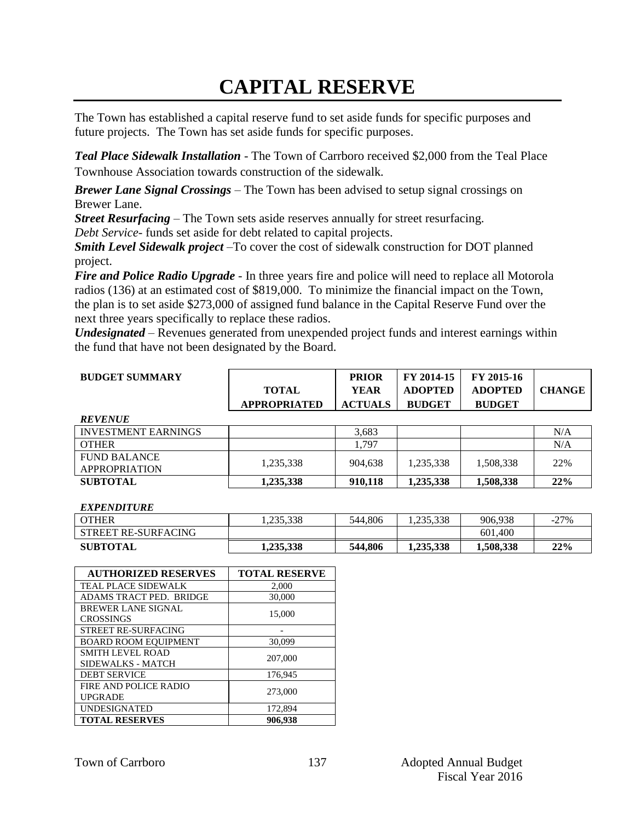## **CAPITAL RESERVE**

The Town has established a capital reserve fund to set aside funds for specific purposes and future projects. The Town has set aside funds for specific purposes.

*Teal Place Sidewalk Installation -* The Town of Carrboro received \$2,000 from the Teal Place Townhouse Association towards construction of the sidewalk*.*

*Brewer Lane Signal Crossings –* The Town has been advised to setup signal crossings on Brewer Lane.

*Street Resurfacing –* The Town sets aside reserves annually for street resurfacing.

*Debt Service*- funds set aside for debt related to capital projects.

*Smith Level Sidewalk project –*To cover the cost of sidewalk construction for DOT planned project.

*Fire and Police Radio Upgrade* - In three years fire and police will need to replace all Motorola radios (136) at an estimated cost of \$819,000. To minimize the financial impact on the Town, the plan is to set aside \$273,000 of assigned fund balance in the Capital Reserve Fund over the next three years specifically to replace these radios.

*Undesignated* – Revenues generated from unexpended project funds and interest earnings within the fund that have not been designated by the Board.

| <b>BUDGET SUMMARY</b>                       |                     | <b>PRIOR</b>   | FY 2014-15     | FY 2015-16     |               |
|---------------------------------------------|---------------------|----------------|----------------|----------------|---------------|
|                                             | <b>TOTAL</b>        | <b>YEAR</b>    | <b>ADOPTED</b> | <b>ADOPTED</b> | <b>CHANGE</b> |
|                                             | <b>APPROPRIATED</b> | <b>ACTUALS</b> | <b>BUDGET</b>  | <b>BUDGET</b>  |               |
| <b>REVENUE</b>                              |                     |                |                |                |               |
| <b>INVESTMENT EARNINGS</b>                  |                     | 3,683          |                |                | N/A           |
| <b>OTHER</b>                                |                     | 1,797          |                |                | N/A           |
| <b>FUND BALANCE</b><br><b>APPROPRIATION</b> | 1,235,338           | 904,638        | 1,235,338      | 1,508,338      | 22%           |
| <b>SUBTOTAL</b>                             | 1,235,338           | 910,118        | 1,235,338      | 1,508,338      | 22%           |
|                                             |                     |                |                |                |               |

*EXPENDITURE*

| <b>OTHER</b>        | .235.338  | 544.806 | .235.338  | 906.938   | $-27%$ |
|---------------------|-----------|---------|-----------|-----------|--------|
| STREET RE-SURFACING |           |         |           | 601.400   |        |
| <b>SUBTOTAL</b>     | 1.235.338 | 544,806 | 1.235.338 | 1,508,338 | 22%    |

| <b>AUTHORIZED RESERVES</b>  | <b>TOTAL RESERVE</b> |
|-----------------------------|----------------------|
| TEAL PLACE SIDEWALK         | 2,000                |
| ADAMS TRACT PED. BRIDGE     | 30,000               |
| <b>BREWER LANE SIGNAL</b>   | 15,000               |
| <b>CROSSINGS</b>            |                      |
| <b>STREET RE-SURFACING</b>  |                      |
| <b>BOARD ROOM EQUIPMENT</b> | 30,099               |
| SMITH LEVEL ROAD            | 207,000              |
| SIDEWALKS - MATCH           |                      |
| <b>DEBT SERVICE</b>         | 176.945              |
| FIRE AND POLICE RADIO       | 273,000              |
| <b>UPGRADE</b>              |                      |
| <b>UNDESIGNATED</b>         | 172,894              |
| <b>TOTAL RESERVES</b>       | 906.938              |